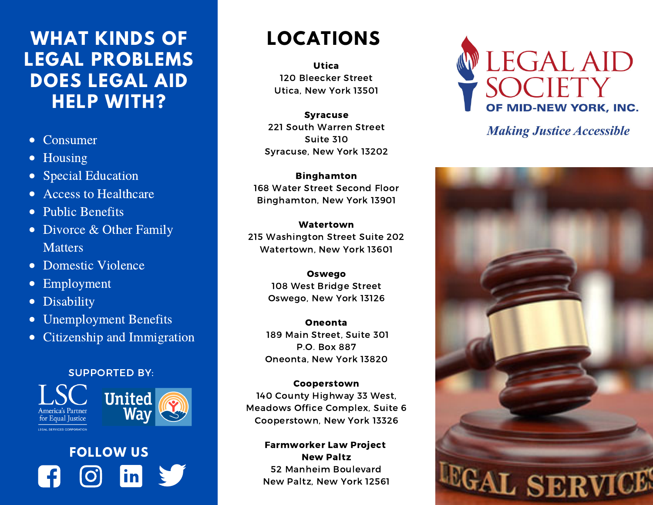#### **WHAT KINDS OF LOCATIONS LEGAL PROBLEMS DOES LEGAL AID HELP WITH?**

- Consumer
- Housing
- Special Education
- Access to Healthcare  $\bullet$
- Public Benefits
- Divorce & Other Family **Matters**
- Domestic Violence
- Employment  $\bullet$
- **Disability**  $\bullet$
- Unemployment Benefits  $\bullet$
- Citizenship and Immigration

#### SUPPORTED BY:





**CONT SERVICES CORRORATION** 

# **FOLLOW US**in

Utica 120 Bleecker Street Utica, New York 13501

Syracuse 221 South Warren Street Suite 310 Syracuse, New York 13202

Binghamton 168 Water Street Second Floor Binghamton, New York 13901

Watertown 215 Washington Street Suite 202 Watertown, New York 13601

> Oswego 108 West Bridge Street Oswego, New York 13126

Oneonta 189 Main Street, Suite 301 P.O. Box 887 Oneonta, New York 13820

#### Cooperstown

140 County Highway 33 West, Meadows Office Complex, Suite 6 Cooperstown, New York 13326

#### Farmworker Law Project New Paltz 52 Manheim Boulevard New Paltz, New York 12561



**Making Justice Accessible**